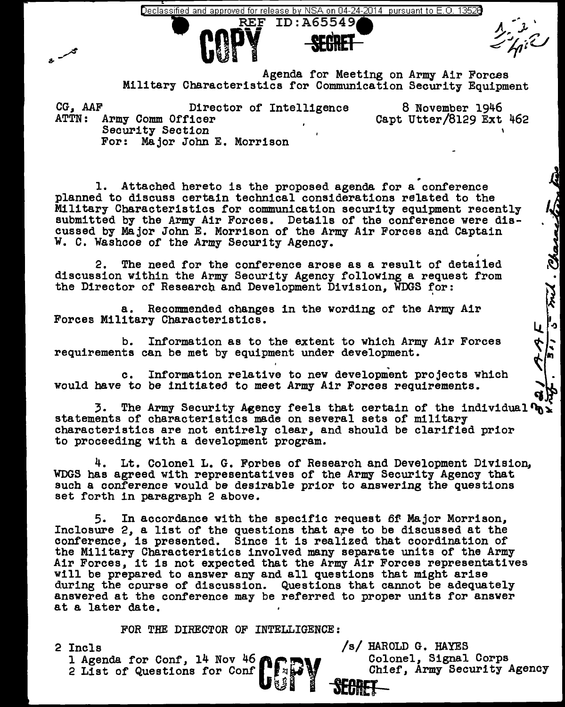eclassified and approved for release by NSA on 04-24-2014 pursuant to E.O. 13528  $\,$ 



Agenda for Meeting on Army Air Forces Military Characteristics for Communication Security Equipment

CG, AAF Director of Intelligence ATTN: Army Comm Officer Security Section For: Major John E. Morrison 8 November 1946 Capt Utter/8129 Ext 462

Attached hereto is the proposed agenda for a conference planned to discuss certain technical considerations related to the Military Characteristics for communication security equipment recently submitted by the Army Air Forces. Details of the conference were discussed by Major John E. Morrison of the Army Air Forces and Captain W. C. Washooe of the Army Security Agency.

2. The need for the conference arose as a result of detailed discussion within the Army Security Agency following a request from the Director of Research and Development Division. WDGS for:

a. Recommended changes in the wording of the Army Air Forces Military Characteristics.

b. Information as to the extent to which Army Air Forces requirements can be met by equipment under development.

c. Information relative to new development projects which would have to be initiated to meet Army Air Forces requirements.

3. The Army Security Agency feels that certain of the individual  $\mathbf{v}_0 \times$  statements of characteristics made on several sets of military characteristics are not entirely clear, and should be clarified prior to proceeding with a development program.

4. Lt. Colonel L. G. Forbes of Research and Development Division, WDGS has agreed with representatives of the Army Security Agency that such a conference would be desirable prior to answering the questions set forth in paragraph 2 above.

5. In accordance with the specific request 6f- Major Morrison, Inclosure 2, a list of the questions that are to be discussed at the conference, is presented. Since it is realized that coordination of the Army separate units of the Army Air Forces, it is not expected that the Army Air Forces representatives<br>will be prepared to answer any and all questions that might arise<br>during the course of discussion. Questions that cannot be adequately answered at the conference may be referred to proper units for answer at a later date.

FOR THE DIRECTOR OF INTELLIGENCE:

2 Incls <br>1 Agenda for Conf. 14 Nov 46 **Agenuary 19 Colonical**, Signal Corps 2 List of Questions for Conf  $\blacksquare$  and  $\blacksquare$  and  $\blacksquare$  and  $\blacksquare$  Chief, Army Security Agency 1 Agenda for Conf, 14 Nov 46 **er +** 

t» I ~ **-SECRET-**

5 mil. Charne

ų.

 $\frac{1}{m}$ ぐぐ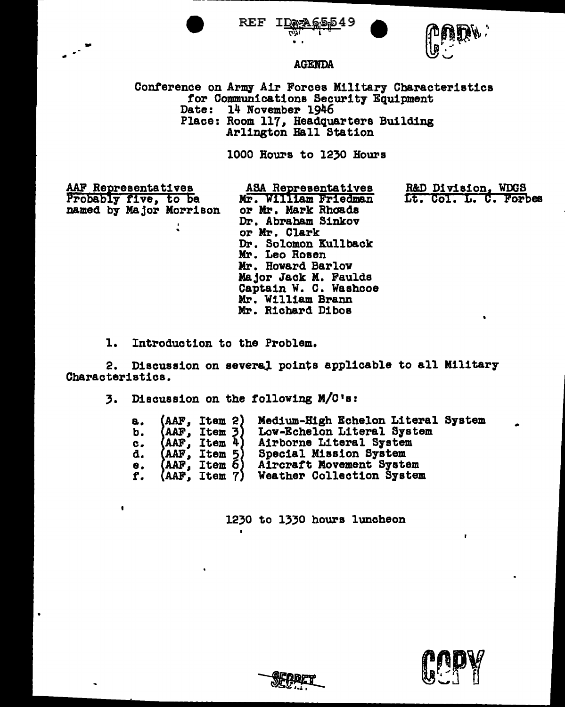

REF





## **AGENDA**

Conference on Army Air Forces Military Characteristics for Communications Security Equipment Date: 14 November 1946 Place: Room 117, Headquarters Building Arlington Hall Station

1000 Hours to 1230 Hours

AAF Representatives Probably five, to be named by Major Morrison

ASA Representatives Mr. William Friedman or Mr. Mark Rhoads Dr. Abraham Sinkov or Mr. Clark Dr. Solomon Kullback Mr. Leo Rosen Mr. Howard Barlow Major Jack M. Faulds Captain W. C. Washcoe Mr. William Brann Mr. Richard Dibos

R&D Division. WDGS Lt. Col. L. C. Forbes

1. Introduction to the Problem.

2. Discussion on several points applicable to all Military Characteristics.

Discussion on the following M/C's: 3.

| а. | $(AAF,$ Item 2)              | Medium-High Echelon Literal System |
|----|------------------------------|------------------------------------|
|    | b. $(AAF, Item 3)$           | Low-Echelon Literal System         |
|    | c. $\text{AAF}$ , Item $4$ ) | Airborne Literal System            |
|    | d. $(AAF, Itom 5)$           | Special Mission System             |
|    | e. $(AAF, Item 6)$           | Aircraft Movement System           |
|    | $f.$ (AAF, Item $7$ )        | Weather Collection System          |

1230 to 1330 hours luncheon